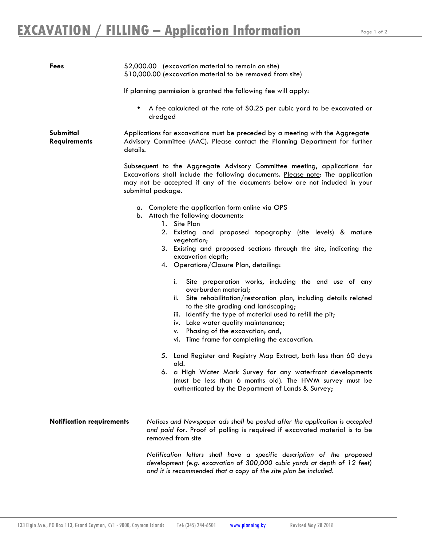| <b>Fees</b>                      | \$2,000.00 (excavation material to remain on site)<br>\$10,000.00 (excavation material to be removed from site)                                                                                                                                                                                                                                                                                                                                                                                                                                                                                                                                                                                                                                                                      |
|----------------------------------|--------------------------------------------------------------------------------------------------------------------------------------------------------------------------------------------------------------------------------------------------------------------------------------------------------------------------------------------------------------------------------------------------------------------------------------------------------------------------------------------------------------------------------------------------------------------------------------------------------------------------------------------------------------------------------------------------------------------------------------------------------------------------------------|
|                                  | If planning permission is granted the following fee will apply:                                                                                                                                                                                                                                                                                                                                                                                                                                                                                                                                                                                                                                                                                                                      |
|                                  | A fee calculated at the rate of \$0.25 per cubic yard to be excavated or<br>$\bullet$<br>dredged                                                                                                                                                                                                                                                                                                                                                                                                                                                                                                                                                                                                                                                                                     |
| Submittal<br><b>Requirements</b> | Applications for excavations must be preceded by a meeting with the Aggregate<br>Advisory Committee (AAC). Please contact the Planning Department for further<br>details.                                                                                                                                                                                                                                                                                                                                                                                                                                                                                                                                                                                                            |
|                                  | Subsequent to the Aggregate Advisory Committee meeting, applications for<br>Excavations shall include the following documents. Please note: The application<br>may not be accepted if any of the documents below are not included in your<br>submittal package.                                                                                                                                                                                                                                                                                                                                                                                                                                                                                                                      |
|                                  | a. Complete the application form online via OPS<br>b. Attach the following documents:                                                                                                                                                                                                                                                                                                                                                                                                                                                                                                                                                                                                                                                                                                |
|                                  | 1. Site Plan<br>2. Existing and proposed topography (site levels) & mature<br>vegetation;<br>3. Existing and proposed sections through the site, indicating the<br>excavation depth;<br>4. Operations/Closure Plan, detailing:<br>i.<br>Site preparation works, including the end use of any<br>overburden material;<br>Site rehabilitation/restoration plan, including details related<br>ii.<br>to the site grading and landscaping;<br>Identify the type of material used to refill the pit;<br>iii.<br>iv. Lake water quality maintenance;<br>Phasing of the excavation; and,<br>٧.<br>vi. Time frame for completing the excavation.<br>5. Land Register and Registry Map Extract, both less than 60 days<br>old.<br>6. a High Water Mark Survey for any waterfront developments |
|                                  | (must be less than 6 months old). The HWM survey must be<br>authenticated by the Department of Lands & Survey;                                                                                                                                                                                                                                                                                                                                                                                                                                                                                                                                                                                                                                                                       |
| <b>Notification requirements</b> | Notices and Newspaper ads shall be posted after the application is accepted<br>and paid for. Proof of polling is required if excavated material is to be<br>removed from site                                                                                                                                                                                                                                                                                                                                                                                                                                                                                                                                                                                                        |
|                                  | Notification letters shall have a specific description of the proposed<br>development (e.g. excavation of 300,000 cubic yards at depth of 12 feet)<br>and it is recommended that a copy of the site plan be included.                                                                                                                                                                                                                                                                                                                                                                                                                                                                                                                                                                |